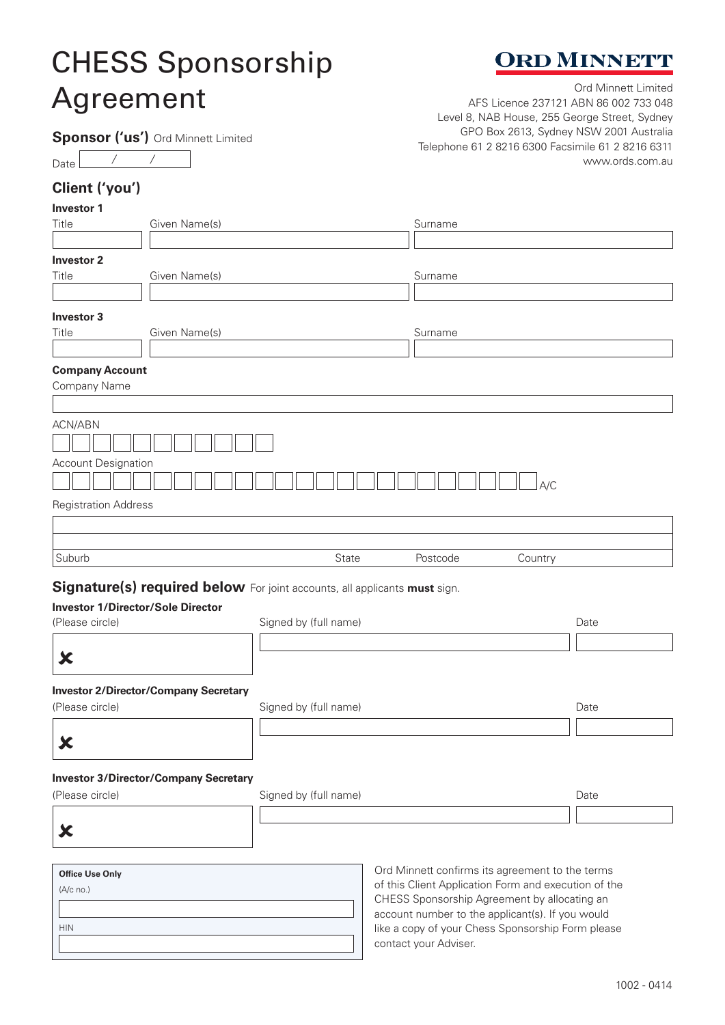# CHESS Sponsorship Agreement Ord Minnett Limited



www.ords.com.au

AFS Licence 237121 ABN 86 002 733 048 Level 8, NAB House, 255 George Street, Sydney GPO Box 2613, Sydney NSW 2001 Australia

Telephone 61 2 8216 6300 Facsimile 61 2 8216 6311

**Sponsor ('us')** Ord Minnett Limited

### Date / /

## **Client ('you')**

### **Investor 1**

| Title                                                                       | Given Name(s)                                | Surname                                                                                            |          |         |      |  |
|-----------------------------------------------------------------------------|----------------------------------------------|----------------------------------------------------------------------------------------------------|----------|---------|------|--|
|                                                                             |                                              |                                                                                                    |          |         |      |  |
| <b>Investor 2</b><br>Title                                                  | Given Name(s)                                |                                                                                                    | Surname  |         |      |  |
|                                                                             |                                              |                                                                                                    |          |         |      |  |
| <b>Investor 3</b>                                                           |                                              |                                                                                                    |          |         |      |  |
| Title                                                                       | Given Name(s)                                |                                                                                                    | Surname  |         |      |  |
|                                                                             |                                              |                                                                                                    |          |         |      |  |
| <b>Company Account</b>                                                      |                                              |                                                                                                    |          |         |      |  |
| Company Name                                                                |                                              |                                                                                                    |          |         |      |  |
| <b>ACN/ABN</b><br><b>Account Designation</b><br><b>Registration Address</b> |                                              |                                                                                                    |          | A/C     |      |  |
| Suburb                                                                      |                                              | State                                                                                              | Postcode | Country |      |  |
| <b>Investor 1/Director/Sole Director</b><br>(Please circle)<br>$\bm{x}$     |                                              | Signature(s) required below For joint accounts, all applicants must sign.<br>Signed by (full name) |          |         | Date |  |
| (Please circle)                                                             | <b>Investor 2/Director/Company Secretary</b> | Signed by (full name)                                                                              |          |         | Date |  |
| $\bm{x}$                                                                    |                                              |                                                                                                    |          |         |      |  |
|                                                                             | <b>Investor 3/Director/Company Secretary</b> |                                                                                                    |          |         |      |  |
| (Please circle)                                                             |                                              | Signed by (full name)                                                                              |          |         | Date |  |
| ×                                                                           |                                              |                                                                                                    |          |         |      |  |

| <b>Office Use Only</b> |  |
|------------------------|--|
| $(A/c \nno.)$          |  |
|                        |  |
| <b>HIN</b>             |  |
|                        |  |

Ord Minnett confirms its agreement to the terms of this Client Application Form and execution of the CHESS Sponsorship Agreement by allocating an account number to the applicant(s). If you would like a copy of your Chess Sponsorship Form please contact your Adviser.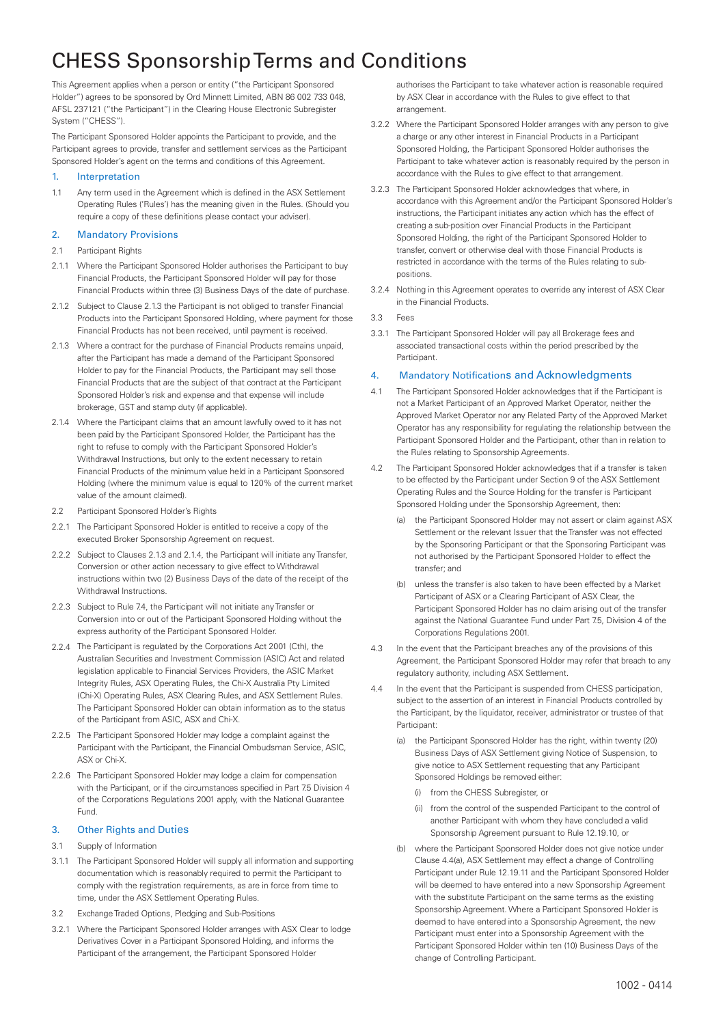# CHESS Sponsorship Terms and Conditions

This Agreement applies when a person or entity ("the Participant Sponsored Holder") agrees to be sponsored by Ord Minnett Limited, ABN 86 002 733 048, AFSL 237121 ("the Participant") in the Clearing House Electronic Subregister System ("CHESS").

The Participant Sponsored Holder appoints the Participant to provide, and the Participant agrees to provide, transfer and settlement services as the Participant Sponsored Holder's agent on the terms and conditions of this Agreement.

#### 1. Interpretation

1.1 Any term used in the Agreement which is defined in the ASX Settlement Operating Rules ('Rules') has the meaning given in the Rules. (Should you require a copy of these definitions please contact your adviser).

#### 2. Mandatory Provisions

- 2.1 Participant Rights
- 2.1.1 Where the Participant Sponsored Holder authorises the Participant to buy Financial Products, the Participant Sponsored Holder will pay for those Financial Products within three (3) Business Days of the date of purchase.
- 2.1.2 Subject to Clause 2.1.3 the Participant is not obliged to transfer Financial Products into the Participant Sponsored Holding, where payment for those Financial Products has not been received, until payment is received.
- 2.1.3 Where a contract for the purchase of Financial Products remains unpaid, after the Participant has made a demand of the Participant Sponsored Holder to pay for the Financial Products, the Participant may sell those Financial Products that are the subject of that contract at the Participant Sponsored Holder's risk and expense and that expense will include brokerage, GST and stamp duty (if applicable).
- 2.1.4 Where the Participant claims that an amount lawfully owed to it has not been paid by the Participant Sponsored Holder, the Participant has the right to refuse to comply with the Participant Sponsored Holder's Withdrawal Instructions, but only to the extent necessary to retain Financial Products of the minimum value held in a Participant Sponsored Holding (where the minimum value is equal to 120% of the current market value of the amount claimed).
- 2.2 Participant Sponsored Holder's Rights
- 2.2.1 The Participant Sponsored Holder is entitled to receive a copy of the executed Broker Sponsorship Agreement on request.
- 2.2.2 Subject to Clauses 2.1.3 and 2.1.4, the Participant will initiate any Transfer, Conversion or other action necessary to give effect to Withdrawal instructions within two (2) Business Days of the date of the receipt of the Withdrawal Instructions.
- 2.2.3 Subject to Rule 7.4, the Participant will not initiate any Transfer or Conversion into or out of the Participant Sponsored Holding without the express authority of the Participant Sponsored Holder.
- 2.2.4 The Participant is regulated by the Corporations Act 2001 (Cth), the Australian Securities and Investment Commission (ASIC) Act and related legislation applicable to Financial Services Providers, the ASIC Market Integrity Rules, ASX Operating Rules, the Chi-X Australia Pty Limited (Chi-X) Operating Rules, ASX Clearing Rules, and ASX Settlement Rules. The Participant Sponsored Holder can obtain information as to the status of the Participant from ASIC, ASX and Chi-X.
- 2.2.5 The Participant Sponsored Holder may lodge a complaint against the Participant with the Participant, the Financial Ombudsman Service, ASIC, ASX or Chi-X.
- 2.2.6 The Participant Sponsored Holder may lodge a claim for compensation with the Participant, or if the circumstances specified in Part 75 Division 4 of the Corporations Regulations 2001 apply, with the National Guarantee Fund.

#### 3. Other Rights and Duties

- 3.1 Supply of Information
- 3.1.1 The Participant Sponsored Holder will supply all information and supporting documentation which is reasonably required to permit the Participant to comply with the registration requirements, as are in force from time to time, under the ASX Settlement Operating Rules.
- 3.2 Exchange Traded Options, Pledging and Sub-Positions
- 3.2.1 Where the Participant Sponsored Holder arranges with ASX Clear to lodge Derivatives Cover in a Participant Sponsored Holding, and informs the Participant of the arrangement, the Participant Sponsored Holder

authorises the Participant to take whatever action is reasonable required by ASX Clear in accordance with the Rules to give effect to that arrangement.

- 3.2.2 Where the Participant Sponsored Holder arranges with any person to give a charge or any other interest in Financial Products in a Participant Sponsored Holding, the Participant Sponsored Holder authorises the Participant to take whatever action is reasonably required by the person in accordance with the Rules to give effect to that arrangement.
- 3.2.3 The Participant Sponsored Holder acknowledges that where, in accordance with this Agreement and/or the Participant Sponsored Holder's instructions, the Participant initiates any action which has the effect of creating a sub-position over Financial Products in the Participant Sponsored Holding, the right of the Participant Sponsored Holder to transfer, convert or otherwise deal with those Financial Products is restricted in accordance with the terms of the Rules relating to subpositions.
- 3.2.4 Nothing in this Agreement operates to override any interest of ASX Clear in the Financial Products.
- 3.3 Fees
- 3.3.1 The Participant Sponsored Holder will pay all Brokerage fees and associated transactional costs within the period prescribed by the Participant.

#### 4. Mandatory Notifications and Acknowledgments

- 4.1 The Participant Sponsored Holder acknowledges that if the Participant is not a Market Participant of an Approved Market Operator, neither the Approved Market Operator nor any Related Party of the Approved Market Operator has any responsibility for regulating the relationship between the Participant Sponsored Holder and the Participant, other than in relation to the Rules relating to Sponsorship Agreements.
- 4.2 The Participant Sponsored Holder acknowledges that if a transfer is taken to be effected by the Participant under Section 9 of the ASX Settlement Operating Rules and the Source Holding for the transfer is Participant Sponsored Holding under the Sponsorship Agreement, then:
	- (a) the Participant Sponsored Holder may not assert or claim against ASX Settlement or the relevant Issuer that the Transfer was not effected by the Sponsoring Participant or that the Sponsoring Participant was not authorised by the Participant Sponsored Holder to effect the transfer; and
	- (b) unless the transfer is also taken to have been effected by a Market Participant of ASX or a Clearing Participant of ASX Clear, the Participant Sponsored Holder has no claim arising out of the transfer against the National Guarantee Fund under Part 7.5, Division 4 of the Corporations Regulations 2001.
- 4.3 In the event that the Participant breaches any of the provisions of this Agreement, the Participant Sponsored Holder may refer that breach to any regulatory authority, including ASX Settlement.
- 4.4 In the event that the Participant is suspended from CHESS participation, subject to the assertion of an interest in Financial Products controlled by the Participant, by the liquidator, receiver, administrator or trustee of that Participant:
	- (a) the Participant Sponsored Holder has the right, within twenty (20) Business Days of ASX Settlement giving Notice of Suspension, to give notice to ASX Settlement requesting that any Participant Sponsored Holdings be removed either:
		- (i) from the CHESS Subregister, or
		- (ii) from the control of the suspended Participant to the control of another Participant with whom they have concluded a valid Sponsorship Agreement pursuant to Rule 12.19.10, or
	- (b) where the Participant Sponsored Holder does not give notice under Clause 4.4(a), ASX Settlement may effect a change of Controlling Participant under Rule 12.19.11 and the Participant Sponsored Holder will be deemed to have entered into a new Sponsorship Agreement with the substitute Participant on the same terms as the existing Sponsorship Agreement. Where a Participant Sponsored Holder is deemed to have entered into a Sponsorship Agreement, the new Participant must enter into a Sponsorship Agreement with the Participant Sponsored Holder within ten (10) Business Days of the change of Controlling Participant.